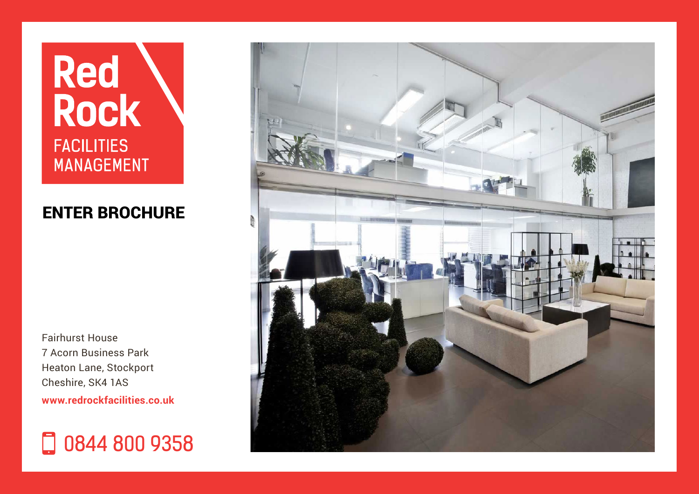# **Red<br>Rock FACILITIES MANAGEMENT**

### ENTER [BROCHURE](#page-1-0)

Fairhurst House 7 Acorn Business Park Heaton Lane, Stockport Cheshire, SK4 1AS **<www.redrockfacilities.co.uk>**

### 0844 800 9358

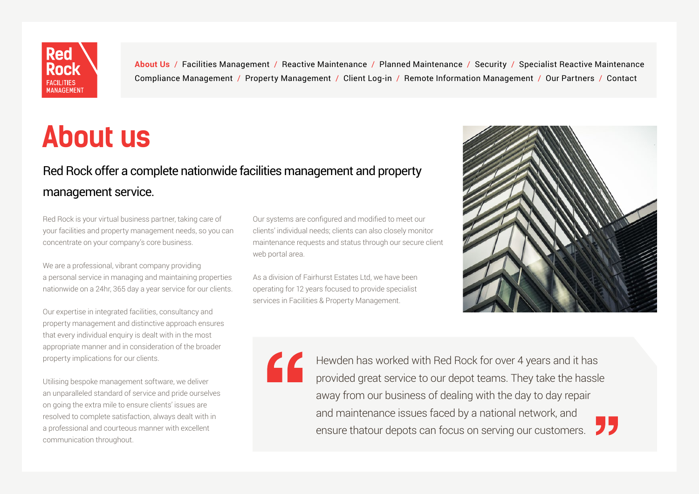<span id="page-1-0"></span>

## **About us**

### Red Rock offer a complete nationwide facilities management and property management service.

Red Rock is your virtual business partner, taking care of your facilities and property management needs, so you can concentrate on your company's core business.

We are a professional, vibrant company providing a personal service in managing and maintaining properties nationwide on a 24hr, 365 day a year service for our clients.

Our expertise in integrated facilities, consultancy and property management and distinctive approach ensures that every individual enquiry is dealt with in the most appropriate manner and in consideration of the broader property implications for our clients.

Utilising bespoke management software, we deliver an unparalleled standard of service and pride ourselves on going the extra mile to ensure clients' issues are resolved to complete satisfaction, always dealt with in a professional and courteous manner with excellent communication throughout.

Our systems are configured and modified to meet our clients' individual needs; clients can also closely monitor maintenance requests and status through our secure client web portal area.

As a division of Fairhurst Estates Ltd, we have been operating for 12 years focused to provide specialist services in Facilities & Property Management.





Hewden has worked with Red Rock for over 4 years and it has provided great service to our depot teams. They take the hassle away from our business of dealing with the day to day repair and maintenance issues faced by a national network, and ensure that our depots can focus on serving our customers.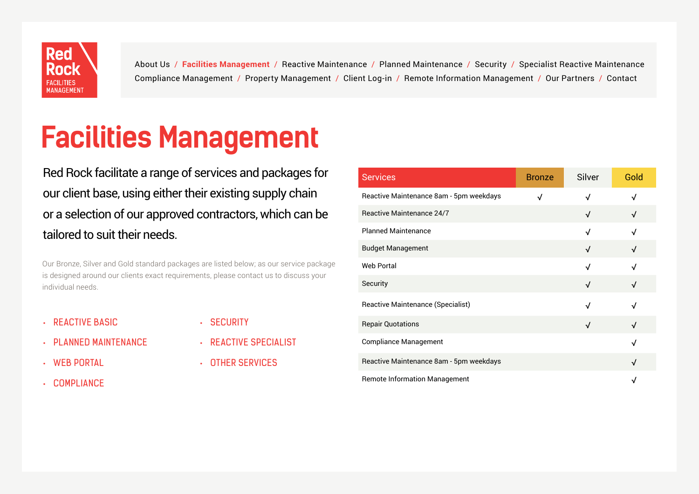<span id="page-2-0"></span>

# **Facilities Management**

Red Rock facilitate a range of services and packages for our client base, using either their existing supply chain or a selection of our approved contractors, which can be tailored to suit their needs.

Our Bronze, Silver and Gold standard packages are listed below; as our service package is designed around our clients exact requirements, please contact us to discuss your individual needs.

**REACTIVE BASIC** 

- SECURITY
- **PLANNED MAINTENANCE**
- WEB PORTAL
- **COMPLIANCE**
- REACTIVE SPECIALIST
- OTHER SERVICES

| <b>Services</b>                         | <b>Bronze</b> | Silver     | Gold       |
|-----------------------------------------|---------------|------------|------------|
| Reactive Maintenance 8am - 5pm weekdays | √             | √          | √          |
| Reactive Maintenance 24/7               |               | $\sqrt{ }$ | √          |
| <b>Planned Maintenance</b>              |               | √          |            |
| <b>Budget Management</b>                |               | $\sqrt{ }$ | √          |
| <b>Web Portal</b>                       |               | √          | √          |
| Security                                |               | √          | √          |
| Reactive Maintenance (Specialist)       |               | √          |            |
| <b>Repair Quotations</b>                |               | √          | $\sqrt{ }$ |
| <b>Compliance Management</b>            |               |            | √          |
| Reactive Maintenance 8am - 5pm weekdays |               |            | √          |
| <b>Remote Information Management</b>    |               |            |            |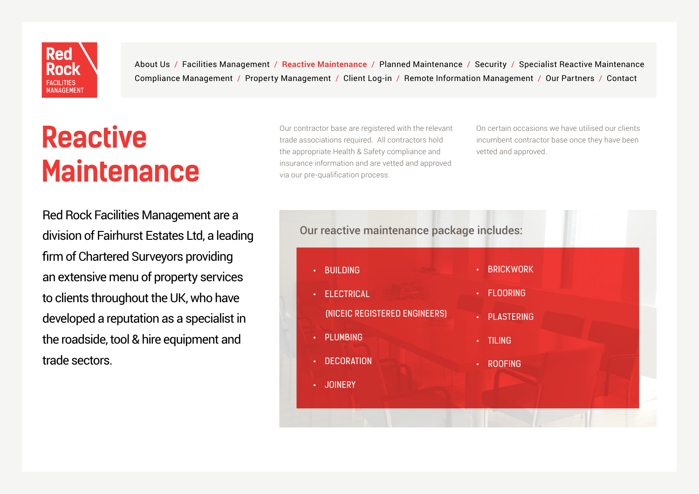<span id="page-3-0"></span>

### **Reactive Maintenance**

Our contractor base are registered with the relevant trade associations required. All contractors hold the appropriate Health & Safety compliance and insurance information and are vetted and approved via our pre-qualification process.

On certain occasions we have utilised our clients incumbent contractor base once they have been vetted and approved.

Red Rock Facilities Management are a division of Fairhurst Estates Ltd, a leading firm of Chartered Surveyors providing an extensive menu of property services to clients throughout the UK, who have developed a reputation as a specialist in the roadside, tool & hire equipment and trade sectors.

#### Our reactive maintenance package includes:

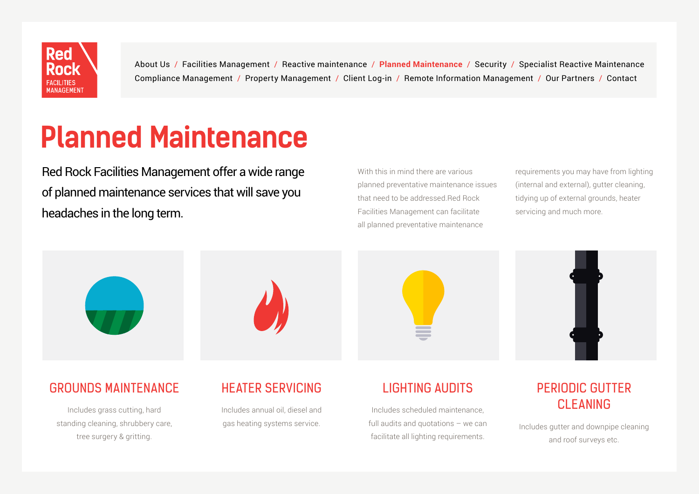<span id="page-4-0"></span>

### **Planned Maintenance**

Red Rock Facilities Management offer a wide range of planned maintenance services that will save you headaches in the long term.

With this in mind there are various planned preventative maintenance issues that need to be addressed.Red Rock Facilities Management can facilitate all planned preventative maintenance

requirements you may have from lighting (internal and external), gutter cleaning, tidying up of external grounds, heater servicing and much more.



#### GROUNDS MAINTENANCE

Includes grass cutting, hard standing cleaning, shrubbery care, tree surgery & gritting.

### HEATER SERVICING

Includes annual oil, diesel and gas heating systems service.

#### LIGHTING AUDITS

Includes scheduled maintenance, full audits and quotations – we can facilitate all lighting requirements.

#### PERIODIC GUTTER CLEANING

Includes gutter and downpipe cleaning and roof surveys etc.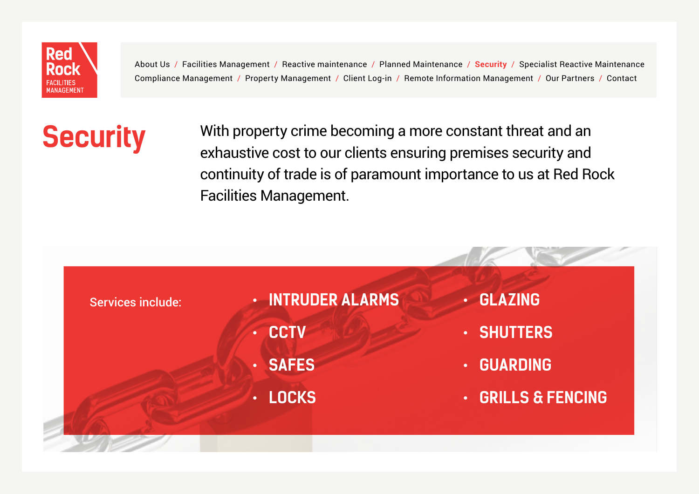<span id="page-5-0"></span>

**Security** With property crime becoming a more constant threat and an exhaustive cost to our clients ensuring premises security and continuity of trade is of paramount importance to us at Red Rock Facilities Management.

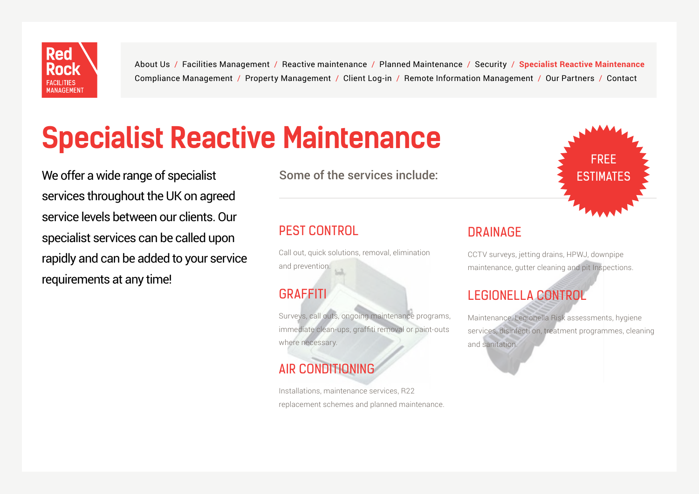<span id="page-6-0"></span>

# **Specialist Reactive Maintenance**

We offer a wide range of specialist  $\blacksquare$  Some of the services include:  $\blacksquare$  ESTIMATES services throughout the UK on agreed service levels between our clients. Our specialist services can be called upon rapidly and can be added to your service requirements at any time!

Some of the services include:

#### PEST CONTROL

Call out, quick solutions, removal, elimination and prevention.

#### GRAFFITI

Surveys, call outs, ongoing maintenance programs, immediate clean-ups, graffiti removal or paint-outs where necessary.

### AIR CONDITIONING

Installations, maintenance services, R22 replacement schemes and planned maintenance.

#### **DRAINAGF**

CCTV surveys, jetting drains, HPWJ, downpipe maintenance, gutter cleaning and pit Inspections.

FREE

### LEGIONELLA CONTROL

Maintenance, Legionella Risk assessments, hygiene services, disinfecti on, treatment programmes, cleaning and sanitation.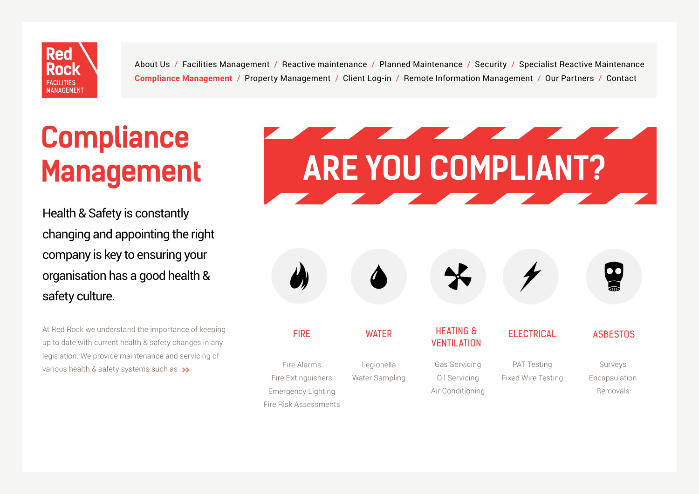<span id="page-7-0"></span>

# **Compliance Management**

Health & Safety is constantly changing and appointing the right company is key to ensuring your organisation has a good health & safety culture.

At Red Rock we understand the importance of keeping up to date with current health & safety changes in any legislation. We provide maintenance and servicing of various health & safety systems such as **>>**

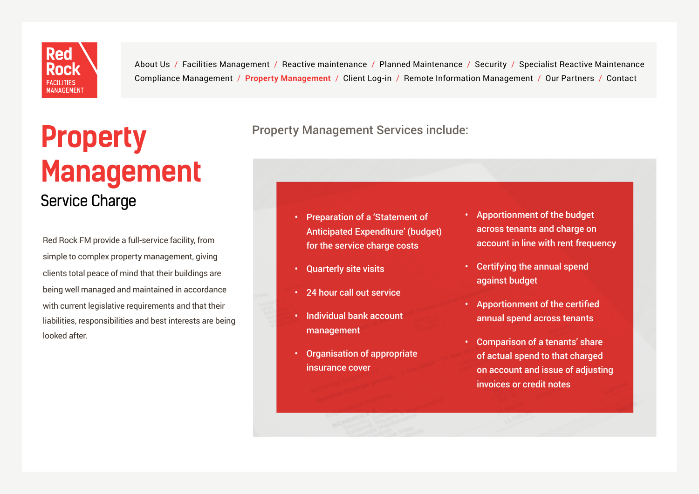<span id="page-8-0"></span>

### **Property Management** Service Charge

Red Rock FM provide a full-service facility, from simple to complex property management, giving clients total peace of mind that their buildings are being well managed and maintained in accordance with current legislative requirements and that their liabilities, responsibilities and best interests are being looked after.

#### Property Management Services include:

- Preparation of a 'Statement of Anticipated Expenditure' (budget) for the service charge costs
- Quarterly site visits
- 24 hour call out service
- Individual bank account management
- Organisation of appropriate insurance cover
- Apportionment of the budget across tenants and charge on account in line with rent frequency
- Certifying the annual spend against budget
- Apportionment of the certified annual spend across tenants
- Comparison of a tenants' share of actual spend to that charged on account and issue of adjusting invoices or credit notes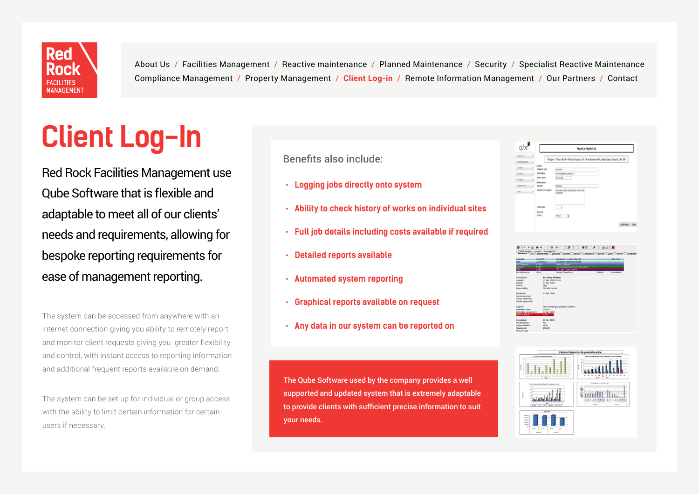<span id="page-9-0"></span>

# **Client Log-In**

Red Rock Facilities Management use Qube Software that is flexible and adaptable to meet all of our clients' needs and requirements, allowing for bespoke reporting requirements for ease of management reporting.

The system can be accessed from anywhere with an internet connection giving you ability to remotely report and monitor client requests giving you greater flexibility and control, with instant access to reporting information and additional frequent reports available on demand.

The system can be set up for individual or group access with the ability to limit certain information for certain users if necessary.

Benefits also include:

- **• Logging jobs directly onto system**
- **• Ability to check history of works on individual sites**
- **• Full job details including costs available if required**
- **• Detailed reports available**
- **• Automated system reporting**
- **• Graphical reports available on request**
- **• Any data in our system can be reported on**

The Qube Software used by the company provides a well supported and updated system that is extremely adaptable to provide clients with sufficient precise information to suit your needs.

|                                         |                                           | Request a Helpdesk Job                                                                                |               |
|-----------------------------------------|-------------------------------------------|-------------------------------------------------------------------------------------------------------|---------------|
| <b>Population</b><br><b>Metablished</b> | ł                                         | Stodport - 7 Acom Bus Rk - Fairhurst House, Unit 7 Acom Business Park, Heaton Lane, Stodport, SK4 1A5 |               |
| Call Kates                              | Contact<br>ł<br>Requester name            | <b>Gan fields</b>                                                                                     |               |
| Cal Search                              | <b>Draf address</b><br>I                  | leat weightfachesisten mus-                                                                           |               |
| <b>Jul Katyo</b>                        | Plone number<br>þ<br><b>Wish required</b> | ment                                                                                                  |               |
| <b>Outstanding Joles</b>                | ۱<br>Location                             | <b>Bathin</b>                                                                                         |               |
| <b>Japit</b>                            | Details of work required                  | Pease abent a pells to touch and region terms window<br>la teachlasm                                  |               |
|                                         | Oder number                               | ï                                                                                                     |               |
|                                         | Timescale<br>Party                        | R<br><b>Depty</b>                                                                                     |               |
|                                         |                                           |                                                                                                       | Santeged Case |

| <b>Property:</b>             | 22/0001                | Stockpart - 7 Acorn Bus Pk          |         | <b>SK4 1AS</b> |  |  |
|------------------------------|------------------------|-------------------------------------|---------|----------------|--|--|
| Linit:                       | 22/0001/01             | Stockpart Fairburst House           |         |                |  |  |
| <b>OS Category</b>           | <b>DIS/A</b>           | <b>Mant: Glazing</b>                |         |                |  |  |
| epter:                       | 8343                   | Jena Phoniseus & Flechical Leabed   |         |                |  |  |
|                              | 1340                   | 17 Apr 2004 10:49                   |         |                |  |  |
| <b>Job Reference:</b>        | 1811                   | Repair (Reactive)                   | Status: | Completed      |  |  |
| Description:                 |                        | <b>Re-Claze Window</b>              |         |                |  |  |
| Logged                       |                        | 17 Apr 2008 10:49                   |         |                |  |  |
| Target:                      |                        | 22 Apr 2008                         |         |                |  |  |
| Priprity:                    | <b>Highs</b>           |                                     |         |                |  |  |
| Responsible:                 | <b>Hichelle Lowris</b> |                                     |         |                |  |  |
| Escalated:                   |                        | 17 Apr 2008                         |         |                |  |  |
| Ouote received:              |                        |                                     |         |                |  |  |
| Darwe informaci:             | ٠                      |                                     |         |                |  |  |
| Owner approved:              | ٠                      |                                     |         |                |  |  |
| Supplier:                    |                        | Area Plumbing & Electrical Limited. |         |                |  |  |
| Estimated cost:              | 198.00                 |                                     |         |                |  |  |
| <b>Estimated completion:</b> | 22 Apr 2008            |                                     |         |                |  |  |
| Crider number                | 1393                   |                                     |         |                |  |  |
| Completed:                   | 22 Ary 2008            |                                     |         |                |  |  |
| Met timescale:               | <b>Yes</b>             |                                     |         |                |  |  |
| Invoice number:              | 1091                   |                                     |         |                |  |  |
| Actual cost:                 | 198.00                 |                                     |         |                |  |  |
| Amount paid:                 | ×.                     |                                     |         |                |  |  |

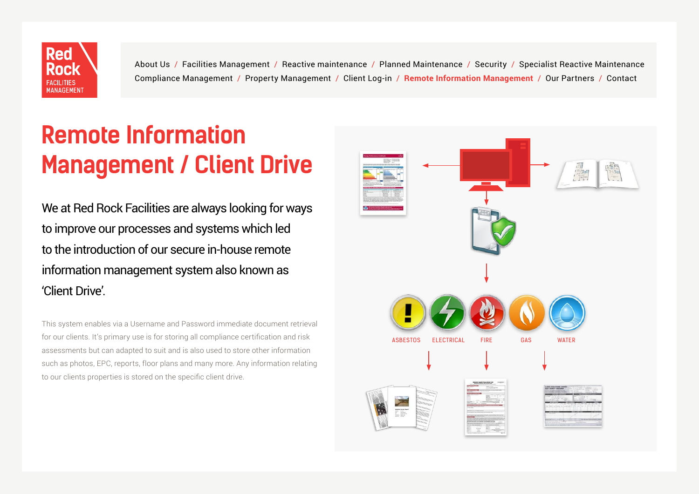<span id="page-10-0"></span>

### **Remote Information Management / Client Drive**

We at Red Rock Facilities are always looking for ways to improve our processes and systems which led to the introduction of our secure in-house remote information management system also known as 'Client Drive'.

This system enables via a Username and Password immediate document retrieval for our clients. It's primary use is for storing all compliance certification and risk assessments but can adapted to suit and is also used to store other information such as photos, EPC, reports, floor plans and many more. Any information relating to our clients properties is stored on the specific client drive.

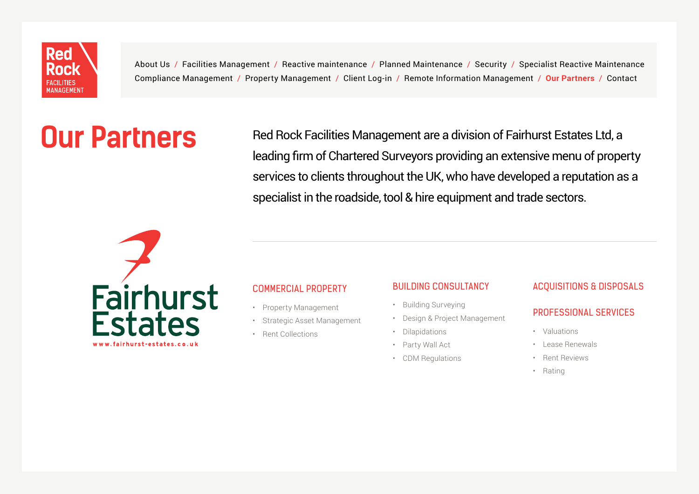<span id="page-11-0"></span>

# **Our Partners**

Red Rock Facilities Management are a division of Fairhurst Estates Ltd, a leading firm of Chartered Surveyors providing an extensive menu of property services to clients throughout the UK, who have developed a reputation as a specialist in the roadside, tool & hire equipment and trade sectors.



#### COMMERCIAL PROPERTY

- Property Management
- Strategic Asset Management
- Rent Collections

#### **BUILDING CONSULTANCY**

- Building Surveying
- Design & Project Management
- Dilapidations
- Party Wall Act
- CDM Regulations

#### ACQUISITIONS & DISPOSALS

#### PROFESSIONAL SERVICES

- Valuations
- Lease Renewals
- Rent Reviews
- Rating